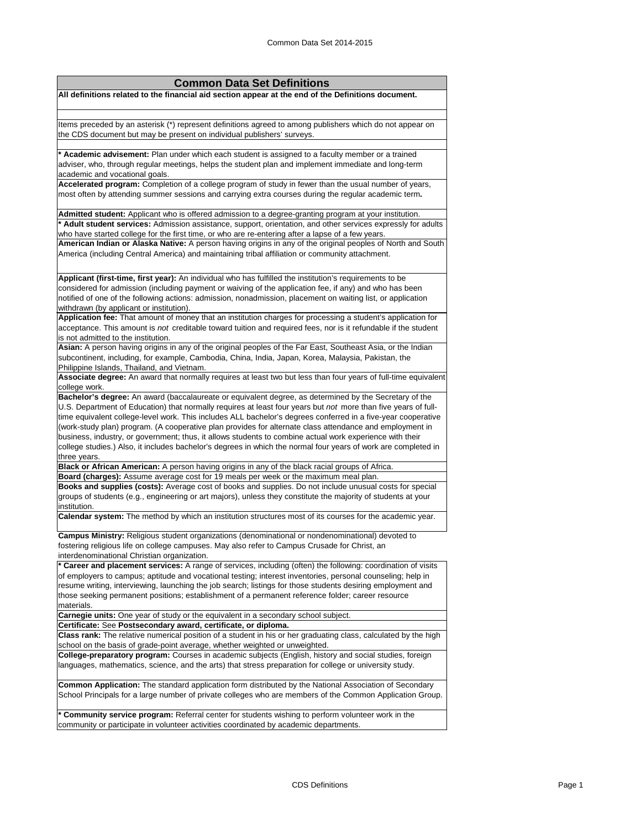## **Common Data Set Definitions**

**All definitions related to the financial aid section appear at the end of the Definitions document.**

Items preceded by an asterisk (\*) represent definitions agreed to among publishers which do not appear on the CDS document but may be present on individual publishers' surveys.

**\* Academic advisement:** Plan under which each student is assigned to a faculty member or a trained adviser, who, through regular meetings, helps the student plan and implement immediate and long-term academic and vocational goals.

**Accelerated program:** Completion of a college program of study in fewer than the usual number of years, most often by attending summer sessions and carrying extra courses during the regular academic term**.**

**Admitted student:** Applicant who is offered admission to a degree-granting program at your institution. **\* Adult student services:** Admission assistance, support, orientation, and other services expressly for adults who have started college for the first time, or who are re-entering after a lapse of a few years.

**American Indian or Alaska Native:** A person having origins in any of the original peoples of North and South America (including Central America) and maintaining tribal affiliation or community attachment.

**Applicant (first-time, first year):** An individual who has fulfilled the institution's requirements to be considered for admission (including payment or waiving of the application fee, if any) and who has been notified of one of the following actions: admission, nonadmission, placement on waiting list, or application withdrawn (by applicant or institution).

**Application fee:** That amount of money that an institution charges for processing a student's application for acceptance. This amount is *not* creditable toward tuition and required fees, nor is it refundable if the student is not admitted to the institution.

**Asian:** A person having origins in any of the original peoples of the Far East, Southeast Asia, or the Indian subcontinent, including, for example, Cambodia, China, India, Japan, Korea, Malaysia, Pakistan, the Philippine Islands, Thailand, and Vietnam.

**Associate degree:** An award that normally requires at least two but less than four years of full-time equivalent college work.

**Bachelor's degree:** An award (baccalaureate or equivalent degree, as determined by the Secretary of the U.S. Department of Education) that normally requires at least four years but *not* more than five years of fulltime equivalent college-level work. This includes ALL bachelor's degrees conferred in a five-year cooperative (work-study plan) program. (A cooperative plan provides for alternate class attendance and employment in business, industry, or government; thus, it allows students to combine actual work experience with their college studies.) Also, it includes bachelor's degrees in which the normal four years of work are completed in three years.

**Black or African American:** A person having origins in any of the black racial groups of Africa.

**Board (charges):** Assume average cost for 19 meals per week or the maximum meal plan. **Books and supplies (costs):** Average cost of books and supplies. Do not include unusual costs for special groups of students (e.g., engineering or art majors), unless they constitute the majority of students at your institution.

**Calendar system:** The method by which an institution structures most of its courses for the academic year.

**Campus Ministry:** Religious student organizations (denominational or nondenominational) devoted to fostering religious life on college campuses. May also refer to Campus Crusade for Christ, an interdenominational Christian organization.

**\* Career and placement services:** A range of services, including (often) the following: coordination of visits of employers to campus; aptitude and vocational testing; interest inventories, personal counseling; help in resume writing, interviewing, launching the job search; listings for those students desiring employment and those seeking permanent positions; establishment of a permanent reference folder; career resource materials.

**Carnegie units:** One year of study or the equivalent in a secondary school subject.

**Certificate:** See **Postsecondary award, certificate, or diploma.**

**Class rank:** The relative numerical position of a student in his or her graduating class, calculated by the high school on the basis of grade-point average, whether weighted or unweighted.

**College-preparatory program:** Courses in academic subjects (English, history and social studies, foreign languages, mathematics, science, and the arts) that stress preparation for college or university study.

**Common Application:** The standard application form distributed by the National Association of Secondary School Principals for a large number of private colleges who are members of the Common Application Group.

**\* Community service program:** Referral center for students wishing to perform volunteer work in the community or participate in volunteer activities coordinated by academic departments.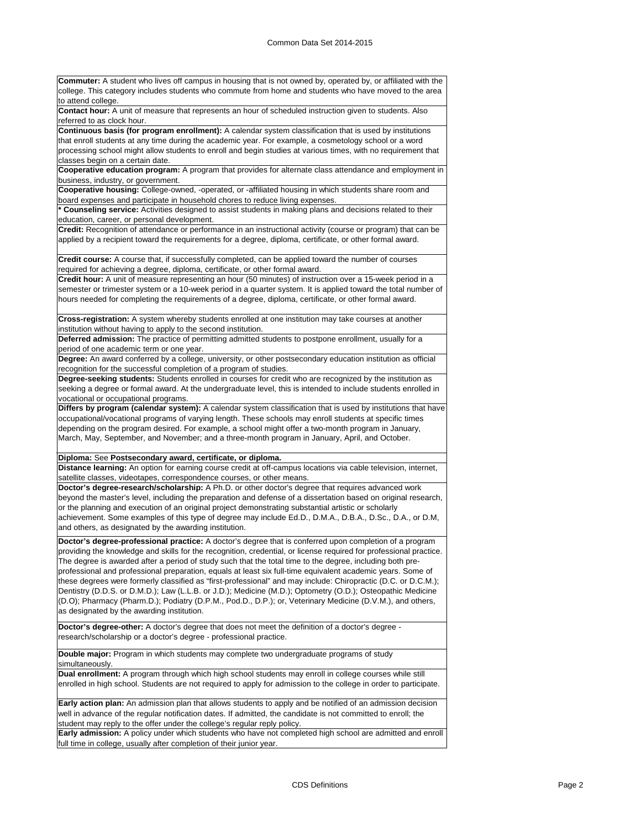| <b>Commuter:</b> A student who lives off campus in housing that is not owned by, operated by, or affiliated with the                                                                                                          |
|-------------------------------------------------------------------------------------------------------------------------------------------------------------------------------------------------------------------------------|
| college. This category includes students who commute from home and students who have moved to the area                                                                                                                        |
| to attend college.<br>Contact hour: A unit of measure that represents an hour of scheduled instruction given to students. Also                                                                                                |
| referred to as clock hour.                                                                                                                                                                                                    |
| Continuous basis (for program enrollment): A calendar system classification that is used by institutions                                                                                                                      |
| that enroll students at any time during the academic year. For example, a cosmetology school or a word                                                                                                                        |
| processing school might allow students to enroll and begin studies at various times, with no requirement that                                                                                                                 |
| classes begin on a certain date.                                                                                                                                                                                              |
| Cooperative education program: A program that provides for alternate class attendance and employment in                                                                                                                       |
| business, industry, or government.<br>Cooperative housing: College-owned, -operated, or -affiliated housing in which students share room and                                                                                  |
| board expenses and participate in household chores to reduce living expenses.                                                                                                                                                 |
| * Counseling service: Activities designed to assist students in making plans and decisions related to their                                                                                                                   |
| education, career, or personal development.                                                                                                                                                                                   |
| Credit: Recognition of attendance or performance in an instructional activity (course or program) that can be<br>applied by a recipient toward the requirements for a degree, diploma, certificate, or other formal award.    |
|                                                                                                                                                                                                                               |
| Credit course: A course that, if successfully completed, can be applied toward the number of courses                                                                                                                          |
| required for achieving a degree, diploma, certificate, or other formal award.                                                                                                                                                 |
| Credit hour: A unit of measure representing an hour (50 minutes) of instruction over a 15-week period in a                                                                                                                    |
| semester or trimester system or a 10-week period in a quarter system. It is applied toward the total number of                                                                                                                |
| hours needed for completing the requirements of a degree, diploma, certificate, or other formal award.                                                                                                                        |
| Cross-registration: A system whereby students enrolled at one institution may take courses at another                                                                                                                         |
| institution without having to apply to the second institution.                                                                                                                                                                |
| Deferred admission: The practice of permitting admitted students to postpone enrollment, usually for a                                                                                                                        |
| period of one academic term or one year.                                                                                                                                                                                      |
| Degree: An award conferred by a college, university, or other postsecondary education institution as official                                                                                                                 |
| recognition for the successful completion of a program of studies.                                                                                                                                                            |
| Degree-seeking students: Students enrolled in courses for credit who are recognized by the institution as                                                                                                                     |
| seeking a degree or formal award. At the undergraduate level, this is intended to include students enrolled in<br>vocational or occupational programs.                                                                        |
| Differs by program (calendar system): A calendar system classification that is used by institutions that have                                                                                                                 |
| occupational/vocational programs of varying length. These schools may enroll students at specific times                                                                                                                       |
| depending on the program desired. For example, a school might offer a two-month program in January,                                                                                                                           |
| March, May, September, and November; and a three-month program in January, April, and October.                                                                                                                                |
|                                                                                                                                                                                                                               |
| Diploma: See Postsecondary award, certificate, or diploma.                                                                                                                                                                    |
| Distance learning: An option for earning course credit at off-campus locations via cable television, internet,                                                                                                                |
| satellite classes, videotapes, correspondence courses, or other means.                                                                                                                                                        |
| Doctor's degree-research/scholarship: A Ph.D. or other doctor's degree that requires advanced work                                                                                                                            |
| beyond the master's level, including the preparation and defense of a dissertation based on original research,                                                                                                                |
| or the planning and execution of an original project demonstrating substantial artistic or scholarly<br>achievement. Some examples of this type of degree may include Ed.D., D.M.A., D.B.A., D.Sc., D.A., or D.M,             |
| and others, as designated by the awarding institution.                                                                                                                                                                        |
|                                                                                                                                                                                                                               |
| Doctor's degree-professional practice: A doctor's degree that is conferred upon completion of a program<br>providing the knowledge and skills for the recognition, credential, or license required for professional practice. |
| The degree is awarded after a period of study such that the total time to the degree, including both pre-                                                                                                                     |
| professional and professional preparation, equals at least six full-time equivalent academic years. Some of                                                                                                                   |
| these degrees were formerly classified as "first-professional" and may include: Chiropractic (D.C. or D.C.M.);                                                                                                                |
| Dentistry (D.D.S. or D.M.D.); Law (L.L.B. or J.D.); Medicine (M.D.); Optometry (O.D.); Osteopathic Medicine                                                                                                                   |
| (D.O); Pharmacy (Pharm.D.); Podiatry (D.P.M., Pod.D., D.P.); or, Veterinary Medicine (D.V.M.), and others,                                                                                                                    |
| as designated by the awarding institution.                                                                                                                                                                                    |
| Doctor's degree-other: A doctor's degree that does not meet the definition of a doctor's degree -                                                                                                                             |
| research/scholarship or a doctor's degree - professional practice.                                                                                                                                                            |
|                                                                                                                                                                                                                               |
| Double major: Program in which students may complete two undergraduate programs of study                                                                                                                                      |
| simultaneously.                                                                                                                                                                                                               |
| Dual enrollment: A program through which high school students may enroll in college courses while still                                                                                                                       |
| enrolled in high school. Students are not required to apply for admission to the college in order to participate.                                                                                                             |
| Early action plan: An admission plan that allows students to apply and be notified of an admission decision                                                                                                                   |
| well in advance of the regular notification dates. If admitted, the candidate is not committed to enroll; the                                                                                                                 |
| student may reply to the offer under the college's regular reply policy.                                                                                                                                                      |
|                                                                                                                                                                                                                               |
| Early admission: A policy under which students who have not completed high school are admitted and enroll                                                                                                                     |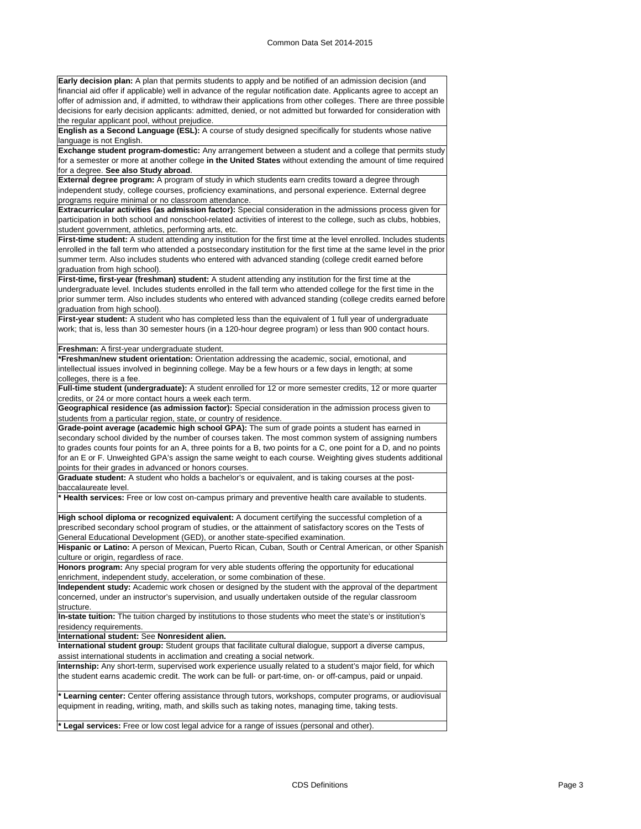**Early decision plan:** A plan that permits students to apply and be notified of an admission decision (and financial aid offer if applicable) well in advance of the regular notification date. Applicants agree to accept an offer of admission and, if admitted, to withdraw their applications from other colleges. There are three possible decisions for early decision applicants: admitted, denied, or not admitted but forwarded for consideration with the regular applicant pool, without prejudice.

**English as a Second Language (ESL):** A course of study designed specifically for students whose native language is not English.

**Exchange student program-domestic:** Any arrangement between a student and a college that permits study for a semester or more at another college **in the United States** without extending the amount of time required for a degree. **See also Study abroad**.

**External degree program:** A program of study in which students earn credits toward a degree through independent study, college courses, proficiency examinations, and personal experience. External degree programs require minimal or no classroom attendance.

**Extracurricular activities (as admission factor):** Special consideration in the admissions process given for participation in both school and nonschool-related activities of interest to the college, such as clubs, hobbies, student government, athletics, performing arts, etc.

**First-time student:** A student attending any institution for the first time at the level enrolled. Includes students enrolled in the fall term who attended a postsecondary institution for the first time at the same level in the prior summer term. Also includes students who entered with advanced standing (college credit earned before graduation from high school).

**First-time, first-year (freshman) student:** A student attending any institution for the first time at the undergraduate level. Includes students enrolled in the fall term who attended college for the first time in the prior summer term. Also includes students who entered with advanced standing (college credits earned before graduation from high school).

First-year student: A student who has completed less than the equivalent of 1 full year of undergraduate work; that is, less than 30 semester hours (in a 120-hour degree program) or less than 900 contact hours.

## **Freshman:** A first-year undergraduate student.

**\*Freshman/new student orientation:** Orientation addressing the academic, social, emotional, and intellectual issues involved in beginning college. May be a few hours or a few days in length; at some colleges, there is a fee.

**Full-time student (undergraduate):** A student enrolled for 12 or more semester credits, 12 or more quarter credits, or 24 or more contact hours a week each term.

**Geographical residence (as admission factor):** Special consideration in the admission process given to students from a particular region, state, or country of residence.

**Grade-point average (academic high school GPA):** The sum of grade points a student has earned in secondary school divided by the number of courses taken. The most common system of assigning numbers to grades counts four points for an A, three points for a B, two points for a C, one point for a D, and no points for an E or F. Unweighted GPA's assign the same weight to each course. Weighting gives students additional points for their grades in advanced or honors courses.

**Graduate student:** A student who holds a bachelor's or equivalent, and is taking courses at the postbaccalaureate level.

**\* Health services:** Free or low cost on-campus primary and preventive health care available to students.

**High school diploma or recognized equivalent:** A document certifying the successful completion of a prescribed secondary school program of studies, or the attainment of satisfactory scores on the Tests of General Educational Development (GED), or another state-specified examination.

**Hispanic or Latino:** A person of Mexican, Puerto Rican, Cuban, South or Central American, or other Spanish culture or origin, regardless of race.

**Honors program:** Any special program for very able students offering the opportunity for educational enrichment, independent study, acceleration, or some combination of these.

**Independent study:** Academic work chosen or designed by the student with the approval of the department concerned, under an instructor's supervision, and usually undertaken outside of the regular classroom structure.

**In-state tuition:** The tuition charged by institutions to those students who meet the state's or institution's residency requirements.

**International student:** See **Nonresident alien.**

**International student group:** Student groups that facilitate cultural dialogue, support a diverse campus, assist international students in acclimation and creating a social network.

**Internship:** Any short-term, supervised work experience usually related to a student's major field, for which the student earns academic credit. The work can be full- or part-time, on- or off-campus, paid or unpaid.

Learning center: Center offering assistance through tutors, workshops, computer programs, or audiovisual equipment in reading, writing, math, and skills such as taking notes, managing time, taking tests.

**\* Legal services:** Free or low cost legal advice for a range of issues (personal and other).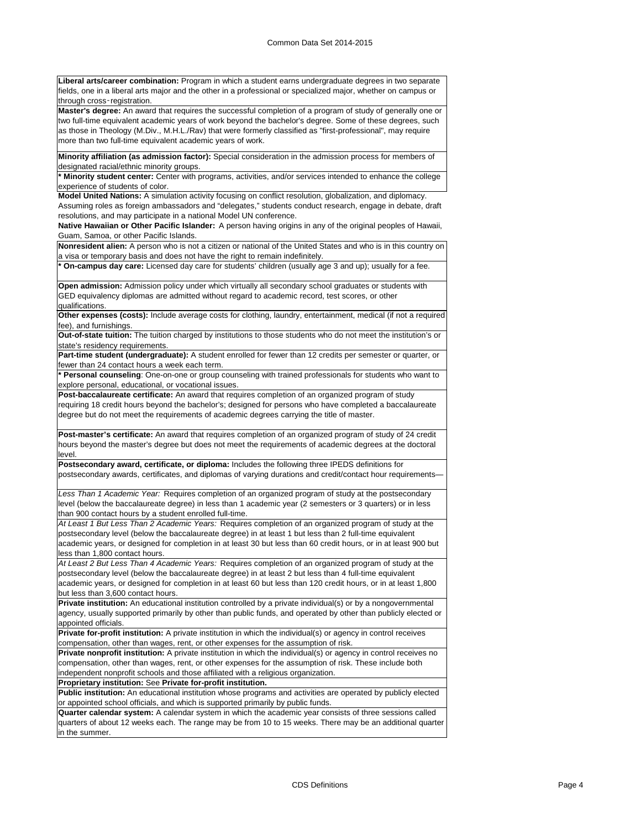**Liberal arts/career combination:** Program in which a student earns undergraduate degrees in two separate fields, one in a liberal arts major and the other in a professional or specialized major, whether on campus or through cross‑registration.

**Master's degree:** An award that requires the successful completion of a program of study of generally one or two full-time equivalent academic years of work beyond the bachelor's degree. Some of these degrees, such as those in Theology (M.Div., M.H.L./Rav) that were formerly classified as "first-professional", may require more than two full-time equivalent academic years of work.

**Minority affiliation (as admission factor):** Special consideration in the admission process for members of designated racial/ethnic minority groups.

**\* Minority student center:** Center with programs, activities, and/or services intended to enhance the college experience of students of color.

**Model United Nations:** A simulation activity focusing on conflict resolution, globalization, and diplomacy.

Assuming roles as foreign ambassadors and "delegates," students conduct research, engage in debate, draft resolutions, and may participate in a national Model UN conference.

**Native Hawaiian or Other Pacific Islander:** A person having origins in any of the original peoples of Hawaii, Guam, Samoa, or other Pacific Islands.

**Nonresident alien:** A person who is not a citizen or national of the United States and who is in this country on a visa or temporary basis and does not have the right to remain indefinitely.

**On-campus day care:** Licensed day care for students' children (usually age 3 and up); usually for a fee.

**Open admission:** Admission policy under which virtually all secondary school graduates or students with GED equivalency diplomas are admitted without regard to academic record, test scores, or other qualifications.

**Other expenses (costs):** Include average costs for clothing, laundry, entertainment, medical (if not a required fee), and furnishings.

**Out-of-state tuition:** The tuition charged by institutions to those students who do not meet the institution's or state's residency requirements.

**Part-time student (undergraduate):** A student enrolled for fewer than 12 credits per semester or quarter, or fewer than 24 contact hours a week each term.

**\* Personal counseling**: One-on-one or group counseling with trained professionals for students who want to explore personal, educational, or vocational issues.

**Post-baccalaureate certificate:** An award that requires completion of an organized program of study requiring 18 credit hours beyond the bachelor's; designed for persons who have completed a baccalaureate degree but do not meet the requirements of academic degrees carrying the title of master.

**Post-master's certificate:** An award that requires completion of an organized program of study of 24 credit hours beyond the master's degree but does not meet the requirements of academic degrees at the doctoral level.

**Postsecondary award, certificate, or diploma:** Includes the following three IPEDS definitions for postsecondary awards, certificates, and diplomas of varying durations and credit/contact hour requirements—

*Less Than 1 Academic Year:* Requires completion of an organized program of study at the postsecondary level (below the baccalaureate degree) in less than 1 academic year (2 semesters or 3 quarters) or in less than 900 contact hours by a student enrolled full-time.

*At Least 1 But Less Than 2 Academic Years:* Requires completion of an organized program of study at the postsecondary level (below the baccalaureate degree) in at least 1 but less than 2 full-time equivalent academic years, or designed for completion in at least 30 but less than 60 credit hours, or in at least 900 but less than 1,800 contact hours.

*At Least 2 But Less Than 4 Academic Years:* Requires completion of an organized program of study at the postsecondary level (below the baccalaureate degree) in at least 2 but less than 4 full-time equivalent academic years, or designed for completion in at least 60 but less than 120 credit hours, or in at least 1,800 but less than 3,600 contact hours.

**Private institution:** An educational institution controlled by a private individual(s) or by a nongovernmental agency, usually supported primarily by other than public funds, and operated by other than publicly elected or appointed officials.

**Private for-profit institution:** A private institution in which the individual(s) or agency in control receives compensation, other than wages, rent, or other expenses for the assumption of risk.

**Private nonprofit institution:** A private institution in which the individual(s) or agency in control receives no compensation, other than wages, rent, or other expenses for the assumption of risk. These include both independent nonprofit schools and those affiliated with a religious organization.

**Proprietary institution:** See **Private for-profit institution. Public institution:** An educational institution whose programs and activities are operated by publicly elected

or appointed school officials, and which is supported primarily by public funds.

**Quarter calendar system:** A calendar system in which the academic year consists of three sessions called quarters of about 12 weeks each. The range may be from 10 to 15 weeks. There may be an additional quarter in the summer.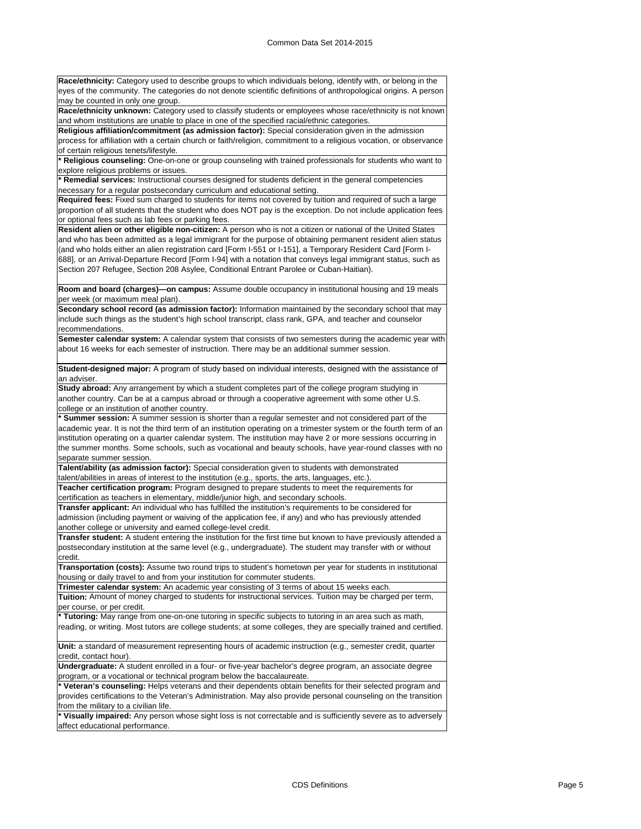**Race/ethnicity:** Category used to describe groups to which individuals belong, identify with, or belong in the eyes of the community. The categories do not denote scientific definitions of anthropological origins. A person may be counted in only one group.

**Race/ethnicity unknown:** Category used to classify students or employees whose race/ethnicity is not known and whom institutions are unable to place in one of the specified racial/ethnic categories.

**Religious affiliation/commitment (as admission factor):** Special consideration given in the admission process for affiliation with a certain church or faith/religion, commitment to a religious vocation, or observance of certain religious tenets/lifestyle.

**\* Religious counseling:** One-on-one or group counseling with trained professionals for students who want to explore religious problems or issues.

**\* Remedial services:** Instructional courses designed for students deficient in the general competencies necessary for a regular postsecondary curriculum and educational setting.

**Required fees:** Fixed sum charged to students for items not covered by tuition and required of such a large proportion of all students that the student who does NOT pay is the exception. Do not include application fees or optional fees such as lab fees or parking fees.

**Resident alien or other eligible non-citizen:** A person who is not a citizen or national of the United States and who has been admitted as a legal immigrant for the purpose of obtaining permanent resident alien status (and who holds either an alien registration card [Form I-551 or I-151], a Temporary Resident Card [Form I-688], or an Arrival-Departure Record [Form I-94] with a notation that conveys legal immigrant status, such as Section 207 Refugee, Section 208 Asylee, Conditional Entrant Parolee or Cuban-Haitian).

**Room and board (charges)—on campus:** Assume double occupancy in institutional housing and 19 meals per week (or maximum meal plan).

**Secondary school record (as admission factor):** Information maintained by the secondary school that may include such things as the student's high school transcript, class rank, GPA, and teacher and counselor recommendations.

**Semester calendar system:** A calendar system that consists of two semesters during the academic year with about 16 weeks for each semester of instruction. There may be an additional summer session.

**Student-designed major:** A program of study based on individual interests, designed with the assistance of an adviser.

**Study abroad:** Any arrangement by which a student completes part of the college program studying in another country. Can be at a campus abroad or through a cooperative agreement with some other U.S. college or an institution of another country.

**\* Summer session:** A summer session is shorter than a regular semester and not considered part of the academic year. It is not the third term of an institution operating on a trimester system or the fourth term of an institution operating on a quarter calendar system. The institution may have 2 or more sessions occurring in the summer months. Some schools, such as vocational and beauty schools, have year-round classes with no separate summer session.

**Talent/ability (as admission factor):** Special consideration given to students with demonstrated talent/abilities in areas of interest to the institution (e.g., sports, the arts, languages, etc.). **Teacher certification program:** Program designed to prepare students to meet the requirements for

certification as teachers in elementary, middle/junior high, and secondary schools.

**Transfer applicant:** An individual who has fulfilled the institution's requirements to be considered for admission (including payment or waiving of the application fee, if any) and who has previously attended another college or university and earned college-level credit.

**Transfer student:** A student entering the institution for the first time but known to have previously attended a postsecondary institution at the same level (e.g., undergraduate). The student may transfer with or without credit.

**Transportation (costs):** Assume two round trips to student's hometown per year for students in institutional housing or daily travel to and from your institution for commuter students.

**Trimester calendar system:** An academic year consisting of 3 terms of about 15 weeks each.

**Tuition:** Amount of money charged to students for instructional services. Tuition may be charged per term, per course, or per credit.

**\* Tutoring:** May range from one-on-one tutoring in specific subjects to tutoring in an area such as math, reading, or writing. Most tutors are college students; at some colleges, they are specially trained and certified.

**Unit:** a standard of measurement representing hours of academic instruction (e.g., semester credit, quarter credit, contact hour).

**Undergraduate:** A student enrolled in a four- or five-year bachelor's degree program, an associate degree program, or a vocational or technical program below the baccalaureate.

Veteran's counseling: Helps veterans and their dependents obtain benefits for their selected program and provides certifications to the Veteran's Administration. May also provide personal counseling on the transition rom the military to a civilian life.

Visually impaired: Any person whose sight loss is not correctable and is sufficiently severe as to adversely affect educational performance.